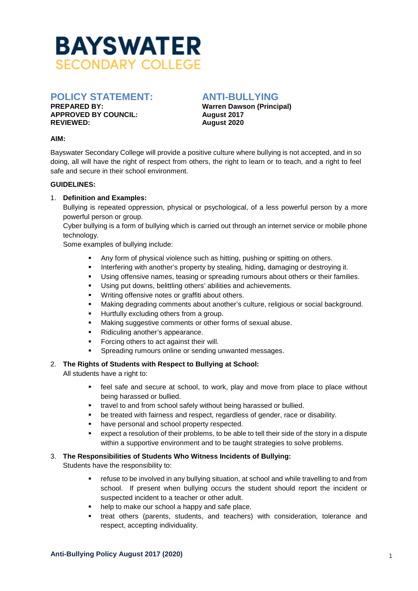

# **POLICY STATEMENT: ANTI-BULLYING**

**APPROVED BY COUNCIL:** August 2017<br>REVIEWED: August 2020

**Warren Dawson (Principal) REVIEWED: August 2020** 

#### **AIM:**

Bayswater Secondary College will provide a positive culture where bullying is not accepted, and in so doing, all will have the right of respect from others, the right to learn or to teach, and a right to feel safe and secure in their school environment.

#### **GUIDELINES:**

# 1. **Definition and Examples:**

Bullying is repeated oppression, physical or psychological, of a less powerful person by a more powerful person or group.

Cyber bullying is a form of bullying which is carried out through an internet service or mobile phone technology.

Some examples of bullying include:

- Any form of physical violence such as hitting, pushing or spitting on others.
- **Interfering with another's property by stealing, hiding, damaging or destroying it.**
- Using offensive names, teasing or spreading rumours about others or their families.
- Using put downs, belittling others' abilities and achievements.
- **Writing offensive notes or graffiti about others.**
- Making degrading comments about another's culture, religious or social background.
- **Hurtfully excluding others from a group.**
- Making suggestive comments or other forms of sexual abuse.
- Ridiculing another's appearance.
- **Forcing others to act against their will.**
- Spreading rumours online or sending unwanted messages.

# 2. **The Rights of Students with Respect to Bullying at School:**

All students have a right to:

- feel safe and secure at school, to work, play and move from place to place without being harassed or bullied.
- travel to and from school safely without being harassed or bullied.
- be treated with fairness and respect, regardless of gender, race or disability.
- **•** have personal and school property respected.
- expect a resolution of their problems, to be able to tell their side of the story in a dispute within a supportive environment and to be taught strategies to solve problems.

# 3. **The Responsibilities of Students Who Witness Incidents of Bullying:**

Students have the responsibility to:

- refuse to be involved in any bullying situation, at school and while travelling to and from school. If present when bullying occurs the student should report the incident or suspected incident to a teacher or other adult.
- help to make our school a happy and safe place.
- treat others (parents, students, and teachers) with consideration, tolerance and respect, accepting individuality.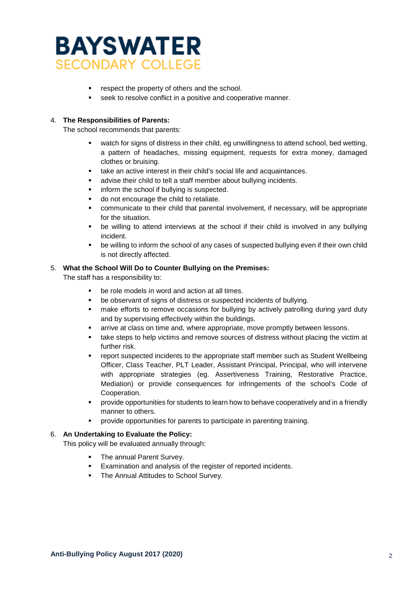

- respect the property of others and the school.
- seek to resolve conflict in a positive and cooperative manner.

# 4. **The Responsibilities of Parents:**

The school recommends that parents:

- watch for signs of distress in their child, eg unwillingness to attend school, bed wetting, a pattern of headaches, missing equipment, requests for extra money, damaged clothes or bruising.
- take an active interest in their child's social life and acquaintances.
- advise their child to tell a staff member about bullying incidents.
- inform the school if bullying is suspected.
- do not encourage the child to retaliate.
- communicate to their child that parental involvement, if necessary, will be appropriate for the situation.
- be willing to attend interviews at the school if their child is involved in any bullying incident.
- be willing to inform the school of any cases of suspected bullying even if their own child is not directly affected.

#### 5. **What the School Will Do to Counter Bullying on the Premises:**

The staff has a responsibility to:

- be role models in word and action at all times.
- be observant of signs of distress or suspected incidents of bullying.
- make efforts to remove occasions for bullying by actively patrolling during yard duty and by supervising effectively within the buildings.
- arrive at class on time and, where appropriate, move promptly between lessons.
- take steps to help victims and remove sources of distress without placing the victim at further risk.
- report suspected incidents to the appropriate staff member such as Student Wellbeing Officer, Class Teacher, PLT Leader, Assistant Principal, Principal, who will intervene with appropriate strategies (eg. Assertiveness Training, Restorative Practice, Mediation) or provide consequences for infringements of the school's Code of Cooperation.
- provide opportunities for students to learn how to behave cooperatively and in a friendly manner to others.
- provide opportunities for parents to participate in parenting training.

# 6. **An Undertaking to Evaluate the Policy:**

This policy will be evaluated annually through:

- The annual Parent Survey.
- **Examination and analysis of the register of reported incidents.**
- The Annual Attitudes to School Survey.